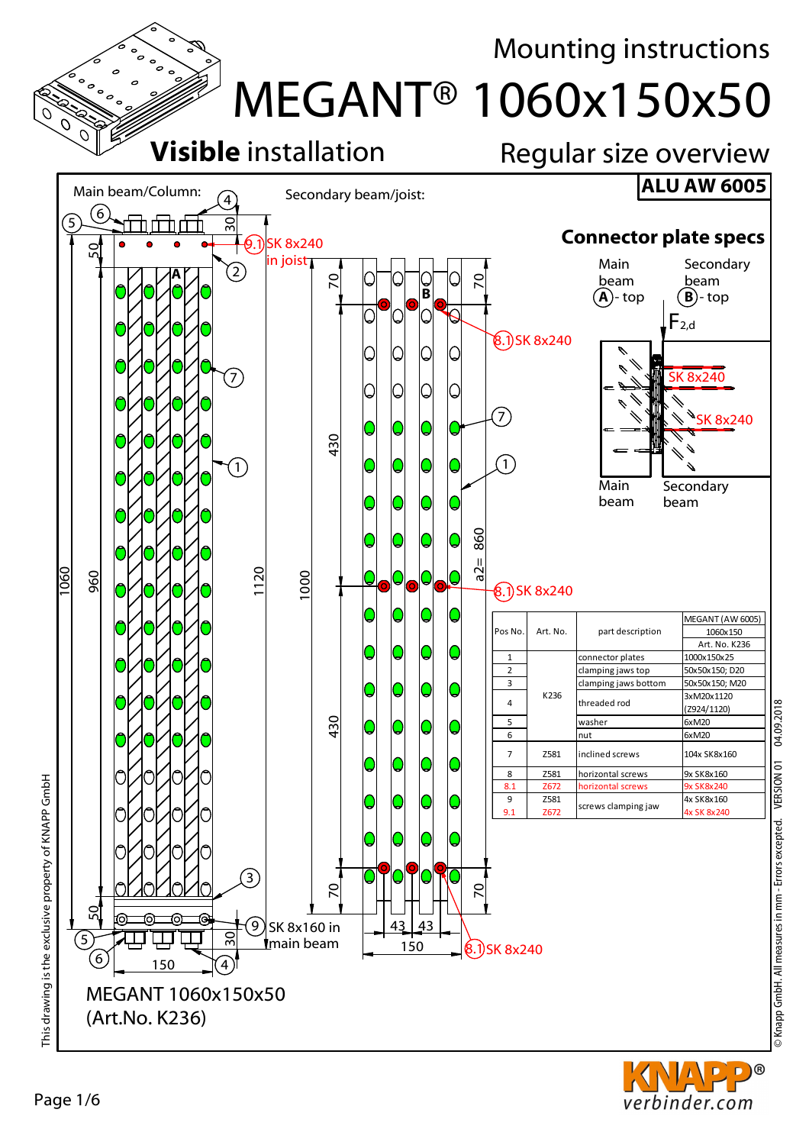

Page 1/6

D®

verbinder.com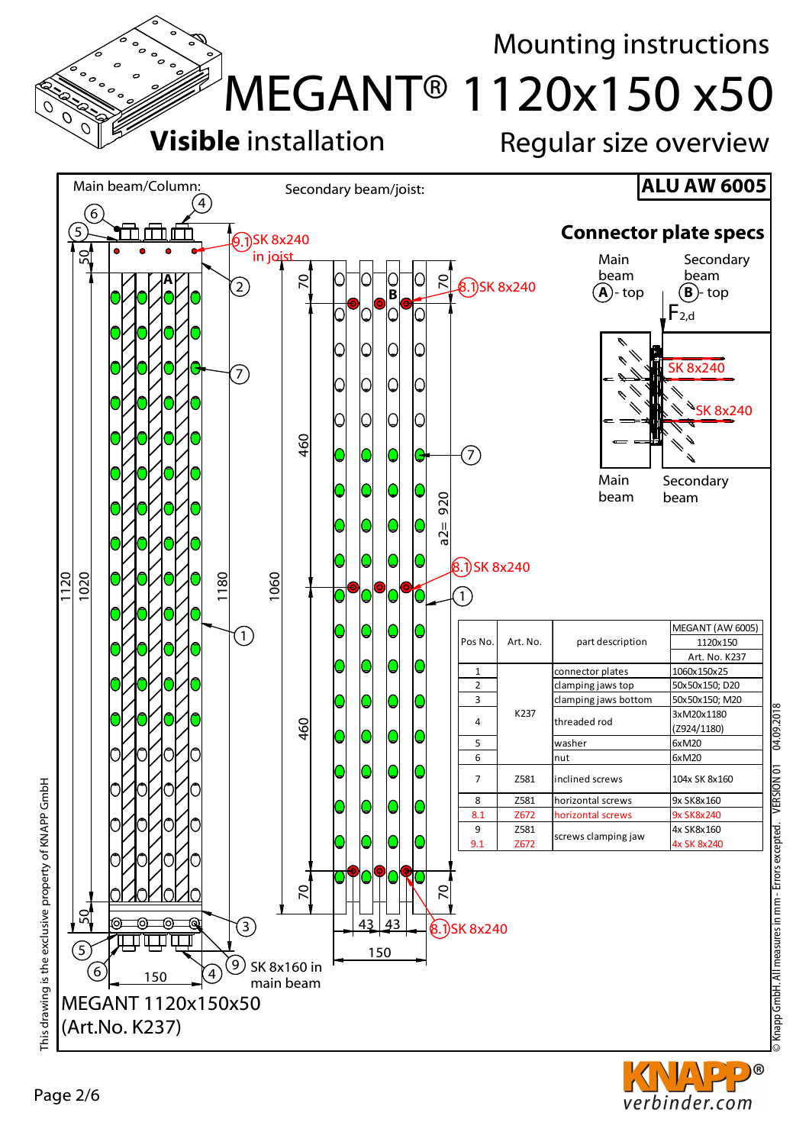

D)® verbinder.com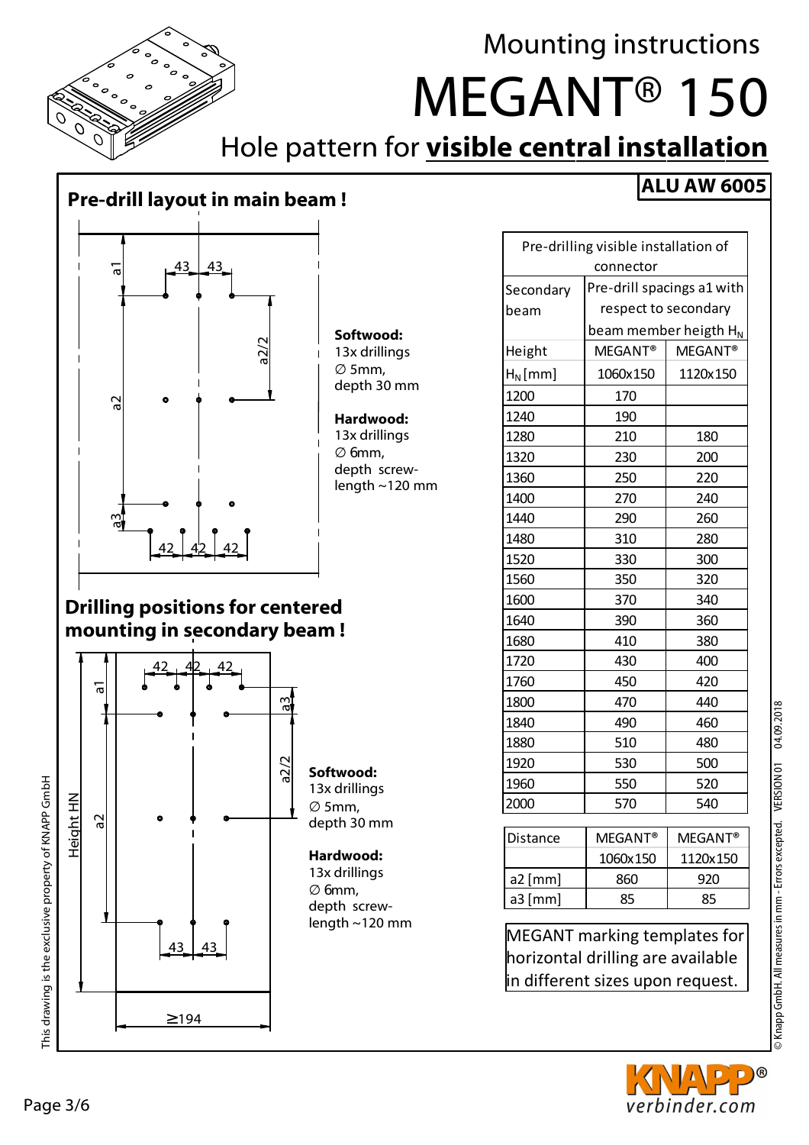

Mounting instructions

MEGANT® 150

## Hole pattern for **visible central installation**

#### **Pre-drill layout in main beam !**



#### **Softwood:** 13x drillings ∅ 5mm, depth 30 mm

**Hardwood:** 13x drillings ∅ 6mm, depth screwlength ~120 mm

#### **Drilling positions for centered mounting in secondary beam !**



### **ALU AW 6005**

| Pre-drilling visible installation of |                                   |                     |  |
|--------------------------------------|-----------------------------------|---------------------|--|
| connector                            |                                   |                     |  |
| Secondary                            | Pre-drill spacings a1 with        |                     |  |
| beam                                 | respect to secondary              |                     |  |
|                                      | beam member heigth H <sub>N</sub> |                     |  |
| Height                               | MEGANT <sup>®</sup>               | MEGANT <sup>®</sup> |  |
| $H_N$ [mm]                           | 1060x150                          | 1120x150            |  |
| 1200                                 | 170                               |                     |  |
| 1240                                 | 190                               |                     |  |
| 1280                                 | 210                               | 180                 |  |
| 1320                                 | 230                               | 200                 |  |
| 1360                                 | 250                               | 220                 |  |
| 1400                                 | 270                               | 240                 |  |
| 1440                                 | 290                               | 260                 |  |
| 1480                                 | 310                               | 280                 |  |
| 1520                                 | 330                               | 300                 |  |
| 1560                                 | 350                               | 320                 |  |
| 1600                                 | 370                               | 340                 |  |
| 1640                                 | 390                               | 360                 |  |
| 1680                                 | 410                               | 380                 |  |
| 1720                                 | 430                               | 400                 |  |
| 1760                                 | 450                               | 420                 |  |
| 1800                                 | 470                               | 440                 |  |
| 1840                                 | 490                               | 460                 |  |
| 1880                                 | 510                               | 480                 |  |
| 1920                                 | 530                               | 500                 |  |
| 1960                                 | 550                               | 520                 |  |
| 2000                                 | 570                               | 540                 |  |
| Distance                             | MEGANT <sup>®</sup>               | MEGANT <sup>®</sup> |  |

| <b>IDistance</b> | <b>MEGANT®</b> | $MFGANT^@$ |
|------------------|----------------|------------|
|                  | 1060x150       | 1120x150   |
| $a2$ [mm]        | 860            | 920        |
| $a3$ [mm]        | 85             | 85         |
|                  |                |            |

MEGANT marking templates for horizontal drilling are available in different sizes upon request.



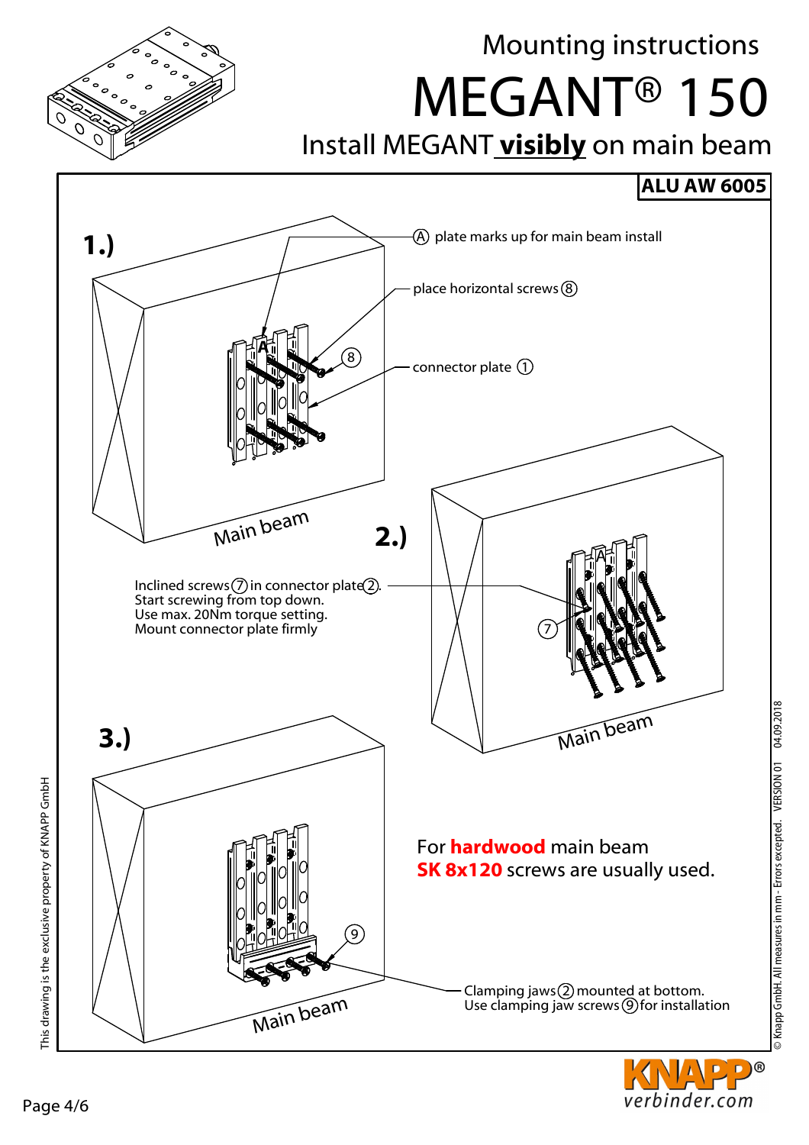

Mounting instructions

MEGANT® 150

## Install MEGANT **visibly** on main beam

#### **ALU AW 6005**



D)®

verbinder.com

This drawing is the exclusive property of KNAPP GmbH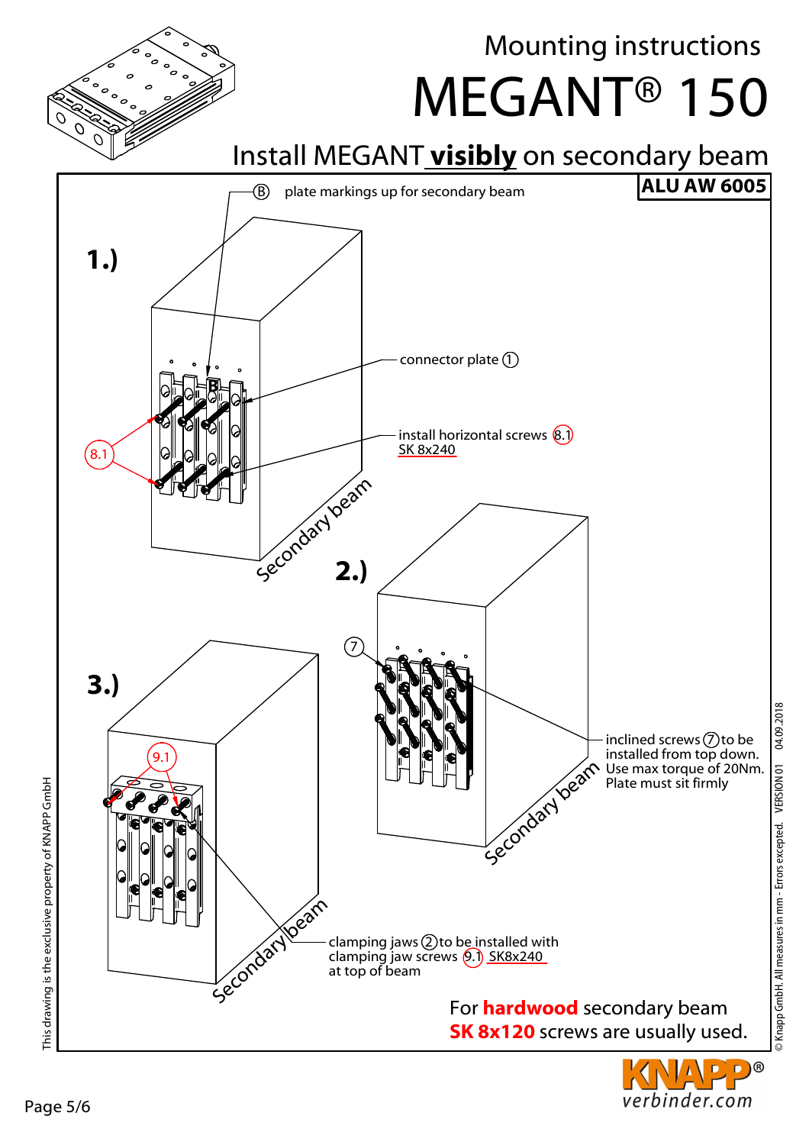This drawing is the exclusive property of KNAPP GmbH

This drawing is the exclusive property of KNAPP GmbH





## Mounting instructions

verbinder.com

MEGANT® 150